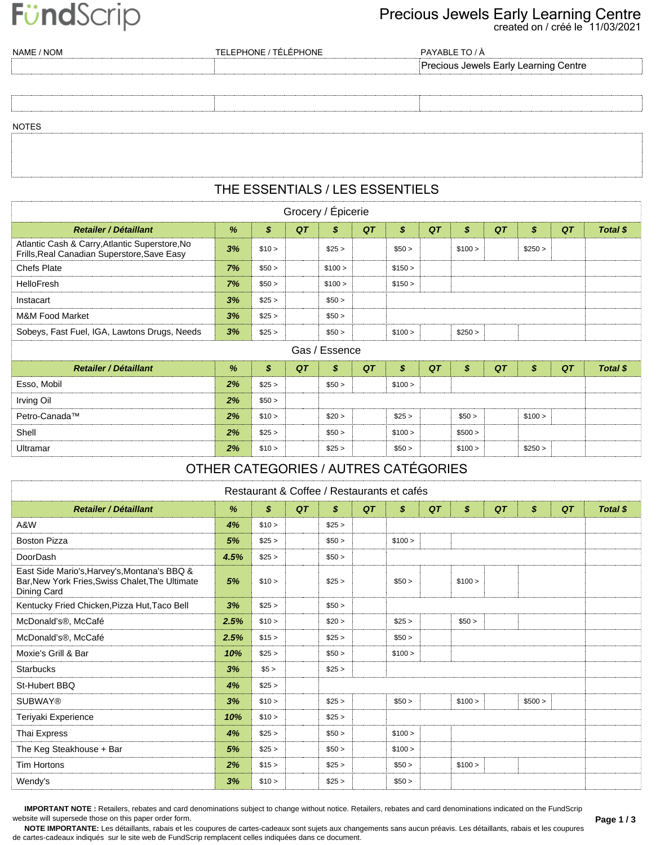# FündScrip

#### created on / créé le 11/03/2021 Precious Jewels Early Learning Centre

| NAME / NOM   | TELEPHONE / TÉLÉPHONE | PAYABLE TO / À                        |
|--------------|-----------------------|---------------------------------------|
|              |                       | Precious Jewels Early Learning Centre |
|              |                       |                                       |
|              |                       |                                       |
|              |                       |                                       |
| <b>NOTES</b> |                       |                                       |
|              |                       |                                       |
|              |                       |                                       |

#### THE ESSENTIALS / LES ESSENTIELS

| Grocery / Épicerie                                                                            |    |        |    |                            |    |         |    |         |    |         |    |          |  |
|-----------------------------------------------------------------------------------------------|----|--------|----|----------------------------|----|---------|----|---------|----|---------|----|----------|--|
| <b>Retailer / Détaillant</b>                                                                  | %  | \$     | QT | $\boldsymbol{\mathcal{S}}$ | QT | \$      | QT | \$      | QT | \$      | QT | Total \$ |  |
| Atlantic Cash & Carry, Atlantic Superstore, No<br>Frills, Real Canadian Superstore, Save Easy | 3% | \$10 > |    | \$25 >                     |    | \$50 >  |    | \$100 > |    | \$250 > |    |          |  |
| <b>Chefs Plate</b>                                                                            | 7% | \$50 > |    | \$100 >                    |    | \$150 > |    |         |    |         |    |          |  |
| HelloFresh                                                                                    | 7% | \$50 > |    | \$100 >                    |    | \$150 > |    |         |    |         |    |          |  |
| Instacart                                                                                     | 3% | \$25 > |    | \$50 >                     |    |         |    |         |    |         |    |          |  |
| M&M Food Market                                                                               | 3% | \$25 > |    | \$50 >                     |    |         |    |         |    |         |    |          |  |
| Sobeys, Fast Fuel, IGA, Lawtons Drugs, Needs                                                  | 3% | \$25 > |    | \$50 >                     |    | \$100 > |    | \$250 > |    |         |    |          |  |
|                                                                                               |    |        |    | Gas / Essence              |    |         |    |         |    |         |    |          |  |

| ------------                 |    |        |    |        |    |         |    |         |    |         |    |          |  |
|------------------------------|----|--------|----|--------|----|---------|----|---------|----|---------|----|----------|--|
| <b>Retailer / Détaillant</b> | %  | \$     | QT | S      | QT | \$      | QT | \$      | QT | \$      | QT | Total \$ |  |
| Esso, Mobil                  | 2% | \$25 > |    | \$50 > |    | \$100 > |    |         |    |         |    |          |  |
| Irving Oil                   | 2% | \$50 > |    |        |    |         |    |         |    |         |    |          |  |
| Petro-Canada™                | 2% | \$10 > |    | \$20 > |    | \$25 >  |    | \$50 >  |    | \$100 > |    |          |  |
| Shell                        | 2% | \$25 > |    | \$50 > |    | \$100 > |    | \$500 > |    |         |    |          |  |
| Ultramar                     | 2% | \$10 > |    | \$25 > |    | \$50 >  |    | \$100 > |    | \$250 > |    |          |  |

### OTHER CATEGORIES / AUTRES CATÉGORIES

| Restaurant & Coffee / Restaurants et cafés |  |
|--------------------------------------------|--|
|--------------------------------------------|--|

| Retailer / Détaillant                                                                                          | %    | $\boldsymbol{s}$ | QT | \$     | QT | $\boldsymbol{\mathsf{s}}$ | QT | \$      | QT | \$      | QT | Total \$ |
|----------------------------------------------------------------------------------------------------------------|------|------------------|----|--------|----|---------------------------|----|---------|----|---------|----|----------|
| A&W                                                                                                            | 4%   | \$10 >           |    | \$25 > |    |                           |    |         |    |         |    |          |
| <b>Boston Pizza</b>                                                                                            | 5%   | \$25 >           |    | \$50 > |    | \$100 >                   |    |         |    |         |    |          |
| DoorDash                                                                                                       | 4.5% | \$25 >           |    | \$50 > |    |                           |    |         |    |         |    |          |
| East Side Mario's, Harvey's, Montana's BBQ &<br>Bar, New York Fries, Swiss Chalet, The Ultimate<br>Dining Card | 5%   | \$10 >           |    | \$25 > |    | \$50 >                    |    | \$100 > |    |         |    |          |
| Kentucky Fried Chicken, Pizza Hut, Taco Bell                                                                   | 3%   | \$25 >           |    | \$50 > |    |                           |    |         |    |         |    |          |
| McDonald's <sup>®</sup> , McCafé                                                                               | 2.5% | \$10 >           |    | \$20 > |    | \$25 >                    |    | \$50 >  |    |         |    |          |
| McDonald's <sup>®</sup> , McCafé                                                                               | 2.5% | \$15 >           |    | \$25 > |    | \$50 >                    |    |         |    |         |    |          |
| Moxie's Grill & Bar                                                                                            | 10%  | \$25 >           |    | \$50 > |    | \$100 >                   |    |         |    |         |    |          |
| <b>Starbucks</b>                                                                                               | 3%   | \$5 >            |    | \$25 > |    |                           |    |         |    |         |    |          |
| St-Hubert BBQ                                                                                                  | 4%   | \$25 >           |    |        |    |                           |    |         |    |         |    |          |
| <b>SUBWAY®</b>                                                                                                 | 3%   | \$10 >           |    | \$25 > |    | \$50 >                    |    | \$100 > |    | \$500 > |    |          |
| Teriyaki Experience                                                                                            | 10%  | \$10 >           |    | \$25 > |    |                           |    |         |    |         |    |          |
| Thai Express                                                                                                   | 4%   | \$25 >           |    | \$50 > |    | \$100 >                   |    |         |    |         |    |          |
| The Keg Steakhouse + Bar                                                                                       | 5%   | \$25 >           |    | \$50 > |    | \$100 >                   |    |         |    |         |    |          |
| <b>Tim Hortons</b>                                                                                             | 2%   | \$15 >           |    | \$25 > |    | \$50 >                    |    | \$100 > |    |         |    |          |
| Wendy's                                                                                                        | 3%   | \$10 >           |    | \$25 > |    | \$50 >                    |    |         |    |         |    |          |

**IMPORTANT NOTE :** Retailers, rebates and card denominations subject to change without notice. Retailers, rebates and card denominations indicated on the FundScrip website will supersede those on this paper order form.

**NOTE IMPORTANTE:** Les détaillants, rabais et les coupures de cartes-cadeaux sont sujets aux changements sans aucun préavis. Les détaillants, rabais et les coupures de cartes-cadeaux indiqués sur le site web de FundScrip remplacent celles indiquées dans ce document.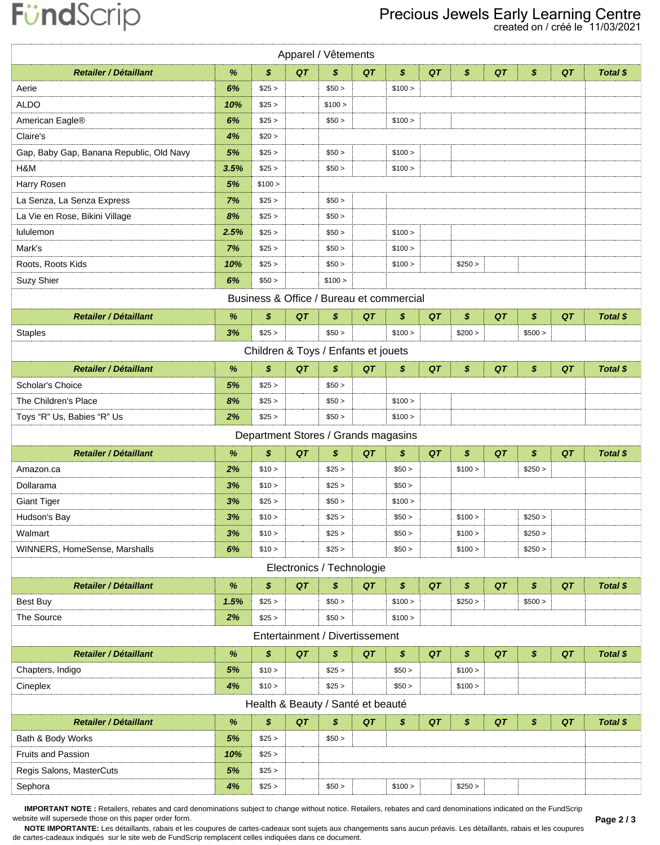## FündScrip

### Precious Jewels Early Learning Centre<br>created on / créé le 11/03/2021

| Apparel / Vêtements                      |      |                                          |    |         |                                |         |    |                  |    |         |    |                 |  |
|------------------------------------------|------|------------------------------------------|----|---------|--------------------------------|---------|----|------------------|----|---------|----|-----------------|--|
| Retailer / Détaillant                    | %    | \$                                       | QT | \$      | QT                             | \$      | QT | \$               | QT | \$      | QT | <b>Total \$</b> |  |
| Aerie                                    | 6%   | \$25 >                                   |    | \$50 >  |                                | \$100 > |    |                  |    |         |    |                 |  |
| <b>ALDO</b>                              | 10%  | \$25 >                                   |    | \$100 > |                                |         |    |                  |    |         |    |                 |  |
| American Eagle®                          | 6%   | \$25 >                                   |    | \$50 >  |                                | \$100 > |    |                  |    |         |    |                 |  |
| Claire's                                 | 4%   | \$20 >                                   |    |         |                                |         |    |                  |    |         |    |                 |  |
| Gap, Baby Gap, Banana Republic, Old Navy | 5%   | \$25 >                                   |    | \$50 >  |                                | \$100 > |    |                  |    |         |    |                 |  |
| H&M                                      | 3.5% | \$25 >                                   |    | \$50 >  |                                | \$100 > |    |                  |    |         |    |                 |  |
| Harry Rosen                              | 5%   | \$100 >                                  |    |         |                                |         |    |                  |    |         |    |                 |  |
| La Senza, La Senza Express               | 7%   | \$25 >                                   |    | \$50 >  |                                |         |    |                  |    |         |    |                 |  |
| La Vie en Rose, Bikini Village           | 8%   | \$25 >                                   |    | \$50 >  |                                |         |    |                  |    |         |    |                 |  |
| lululemon                                | 2.5% | \$25 >                                   |    | \$50 >  |                                | \$100 > |    |                  |    |         |    |                 |  |
| Mark's                                   | 7%   | \$25 >                                   |    | \$50 >  |                                | \$100 > |    |                  |    |         |    |                 |  |
| Roots, Roots Kids                        | 10%  | \$25 >                                   |    | \$50 >  |                                | \$100 > |    | \$250 >          |    |         |    |                 |  |
| Suzy Shier                               | 6%   | \$50 >                                   |    | \$100 > |                                |         |    |                  |    |         |    |                 |  |
|                                          |      | Business & Office / Bureau et commercial |    |         |                                |         |    |                  |    |         |    |                 |  |
| <b>Retailer / Détaillant</b>             | $\%$ | \$                                       | QT | \$      | QT                             | \$      | QT | \$               | QT | \$      | QT | Total \$        |  |
| <b>Staples</b>                           | 3%   | \$25 >                                   |    | \$50 >  |                                | \$100 > |    | \$200 >          |    | \$500 > |    |                 |  |
|                                          |      | Children & Toys / Enfants et jouets      |    |         |                                |         |    |                  |    |         |    |                 |  |
| <b>Retailer / Détaillant</b>             | %    | \$                                       | QT | \$      | QT                             | \$      | QT | \$               | QT | \$      | QT | Total \$        |  |
| Scholar's Choice                         | 5%   | \$25 >                                   |    | \$50 >  |                                |         |    |                  |    |         |    |                 |  |
| The Children's Place                     | 8%   | \$25 >                                   |    | \$50 >  |                                | \$100 > |    |                  |    |         |    |                 |  |
| Toys "R" Us, Babies "R" Us               | 2%   | \$25 >                                   |    | \$50 >  |                                | \$100 > |    |                  |    |         |    |                 |  |
| Department Stores / Grands magasins      |      |                                          |    |         |                                |         |    |                  |    |         |    |                 |  |
|                                          |      |                                          |    |         |                                |         |    |                  |    |         |    |                 |  |
| <b>Retailer / Détaillant</b>             | $\%$ | \$                                       | QT | \$      | QT                             | \$      | QT | \$               | QT | \$      | QT | <b>Total \$</b> |  |
| Amazon.ca                                | 2%   | \$10 >                                   |    | \$25 >  |                                | \$50 >  |    | \$100 >          |    | \$250 > |    |                 |  |
| Dollarama                                | 3%   | \$10 >                                   |    | \$25 >  |                                | \$50 >  |    |                  |    |         |    |                 |  |
| <b>Giant Tiger</b>                       | 3%   | \$25 >                                   |    | \$50 >  |                                | \$100 > |    |                  |    |         |    |                 |  |
| Hudson's Bay                             | 3%   | \$10 >                                   |    | \$25 >  |                                | \$50 >  |    | \$100 >          |    | \$250 > |    |                 |  |
| Walmart                                  | 3%   | \$10 >                                   |    | \$25 >  |                                | \$50 >  |    | \$100 >          |    | \$250 > |    |                 |  |
| WINNERS, HomeSense, Marshalls            | 6%   | \$10 >                                   |    | \$25 >  |                                | \$50 >  |    | \$100 >          |    | \$250 > |    |                 |  |
|                                          |      |                                          |    |         | Electronics / Technologie      |         |    |                  |    |         |    |                 |  |
| <b>Retailer / Détaillant</b>             | $\%$ | \$                                       | QT | \$      | QT                             | \$      | QT | $\boldsymbol{s}$ | QT | \$      | QT | Total \$        |  |
| Best Buy                                 | 1.5% | \$25 >                                   |    | \$50 >  |                                | \$100 > |    | \$250 >          |    | \$500 > |    |                 |  |
| The Source                               | 2%   | \$25 >                                   |    | \$50 >  |                                | \$100 > |    |                  |    |         |    |                 |  |
|                                          |      |                                          |    |         | Entertainment / Divertissement |         |    |                  |    |         |    |                 |  |
| <b>Retailer / Détaillant</b>             | $\%$ | \$                                       | QT | \$      | QT                             | \$      | QT | \$               | QT | \$      | QT | Total \$        |  |
| Chapters, Indigo                         | 5%   | \$10 >                                   |    | \$25 >  |                                | \$50 >  |    | \$100 >          |    |         |    |                 |  |
| Cineplex                                 | 4%   | \$10 >                                   |    | \$25 >  |                                | \$50 >  |    | \$100 >          |    |         |    |                 |  |
|                                          |      | Health & Beauty / Santé et beauté        |    |         |                                |         |    |                  |    |         |    |                 |  |
| <b>Retailer / Détaillant</b>             | $\%$ | \$                                       | QT | \$      | QT                             | \$      | QT | \$               | QT | \$      | QT | Total \$        |  |
| Bath & Body Works                        | 5%   | \$25 >                                   |    | \$50 >  |                                |         |    |                  |    |         |    |                 |  |
| <b>Fruits and Passion</b>                | 10%  | \$25 >                                   |    |         |                                |         |    |                  |    |         |    |                 |  |
| Regis Salons, MasterCuts                 | 5%   | \$25 >                                   |    |         |                                |         |    |                  |    |         |    |                 |  |

IMPORTANT NOTE: Retailers, rebates and card denominations subject to change without notice. Retailers, rebates and card denominations indicated on the FundScrip website will supersede those on this paper order form.

Page 2/3

NOTE IMPORTANTE: Les détaillants, rabais et les coupures de cartes-cadeaux sont sujets aux changements sans aucun préavis. Les détaillants, rabais et les coupures de cartes-cadeaux indiqués sur le site web de FundScrip remplacent celles indiquées dans ce document.